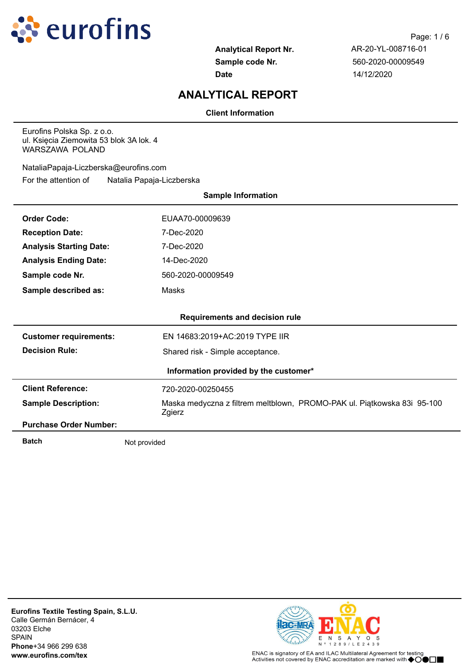

**Date** 14/12/2020

# **ANALYTICAL REPORT**

## **Client Information**

Eurofins Polska Sp. z o.o. ul. Księcia Ziemowita 53 blok 3A lok. 4 WARSZAWA POLAND

For the attention of Natalia Papaja-Liczberska NataliaPapaja-Liczberska@eurofins.com

| <b>Sample Information</b>             |                                                                                   |  |  |  |  |
|---------------------------------------|-----------------------------------------------------------------------------------|--|--|--|--|
| <b>Order Code:</b>                    | EUAA70-00009639                                                                   |  |  |  |  |
| <b>Reception Date:</b>                | 7-Dec-2020                                                                        |  |  |  |  |
| <b>Analysis Starting Date:</b>        | 7-Dec-2020                                                                        |  |  |  |  |
| <b>Analysis Ending Date:</b>          | 14-Dec-2020                                                                       |  |  |  |  |
| Sample code Nr.                       | 560-2020-00009549                                                                 |  |  |  |  |
| Sample described as:                  | Masks                                                                             |  |  |  |  |
|                                       |                                                                                   |  |  |  |  |
|                                       | <b>Requirements and decision rule</b>                                             |  |  |  |  |
| <b>Customer requirements:</b>         | EN 14683:2019+AC:2019 TYPE IIR                                                    |  |  |  |  |
| <b>Decision Rule:</b>                 | Shared risk - Simple acceptance.                                                  |  |  |  |  |
| Information provided by the customer* |                                                                                   |  |  |  |  |
| <b>Client Reference:</b>              | 720-2020-00250455                                                                 |  |  |  |  |
| <b>Sample Description:</b>            | Maska medyczna z filtrem meltblown, PROMO-PAK ul. Piątkowska 83i 95-100<br>Zgierz |  |  |  |  |
| <b>Purchase Order Number:</b>         |                                                                                   |  |  |  |  |
| <b>Batch</b>                          | Not provided                                                                      |  |  |  |  |

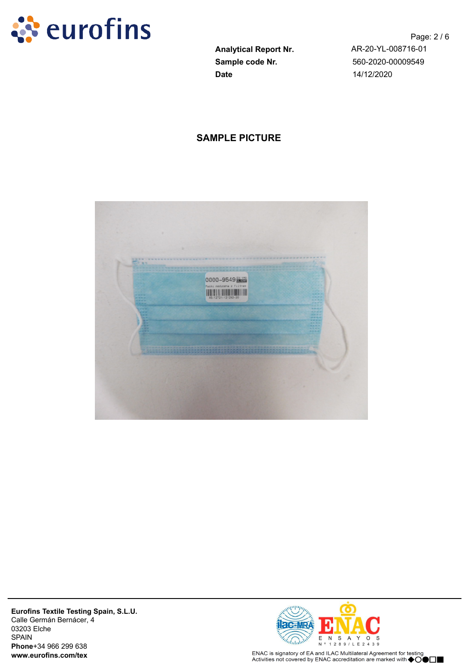

**Sample code Nr.** 560-2020-00009549 **Date** 14/12/2020

Page: 2 / 6 **Analytical Report Nr.** AR-20-YL-008716-01

## **SAMPLE PICTURE**





ENAC is signatory of EA and ILAC Multilateral Agreement for testing<br>Activities not covered by ENAC accreditation are marked with ◆○●□■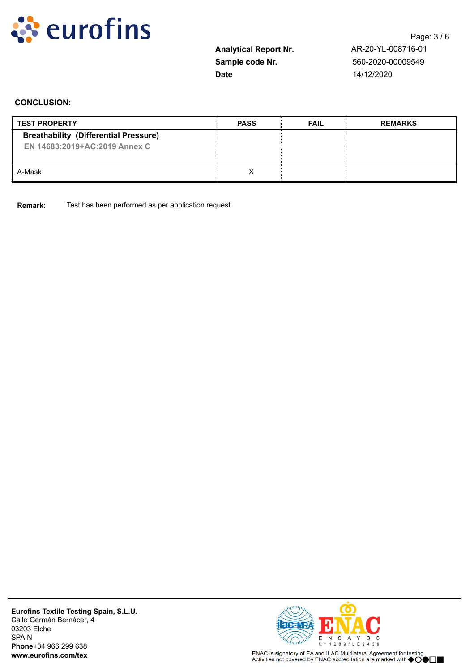

**Date** 14/12/2020

Page: 3 / 6 **Analytical Report Nr.** AR-20-YL-008716-01 **Sample code Nr.** 560-2020-00009549

## **CONCLUSION:**

| <b>TEST PROPERTY</b>                                                          | <b>PASS</b> | <b>FAIL</b> | <b>REMARKS</b> |
|-------------------------------------------------------------------------------|-------------|-------------|----------------|
| <b>Breathability (Differential Pressure)</b><br>EN 14683:2019+AC:2019 Annex C |             |             |                |
| A-Mask                                                                        |             |             |                |

**Remark:** Test has been performed as per application request

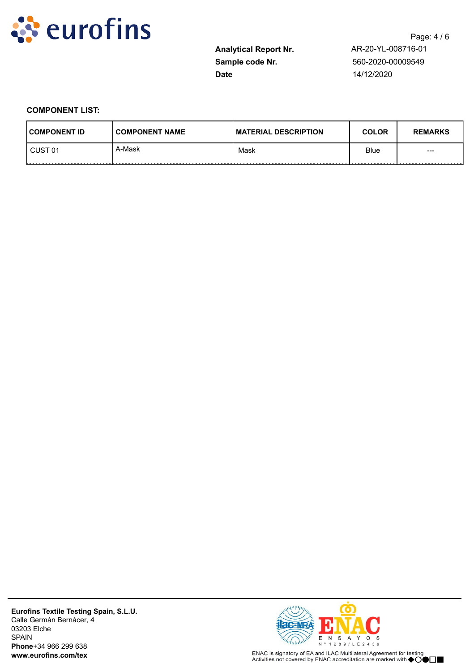

**Sample code Nr.** 560-2020-00009549 **Date** 14/12/2020

**Analytical Report Nr.** AR-20-YL-008716-01

### **COMPONENT LIST:**

| <b>COMPONENT ID</b>               | <b>COMPONENT NAME</b> | I MATERIAL DESCRIPTION | <b>COLOR</b> | <b>REMARKS</b> |
|-----------------------------------|-----------------------|------------------------|--------------|----------------|
| CUST <sub>01</sub><br>----------- | A-Mask                | Mask                   | <b>Blue</b>  | $---$          |



ENAC is signatory of EA and ILAC Multilateral Agreement for testing<br>Activities not covered by ENAC accreditation are marked with ◆○●□■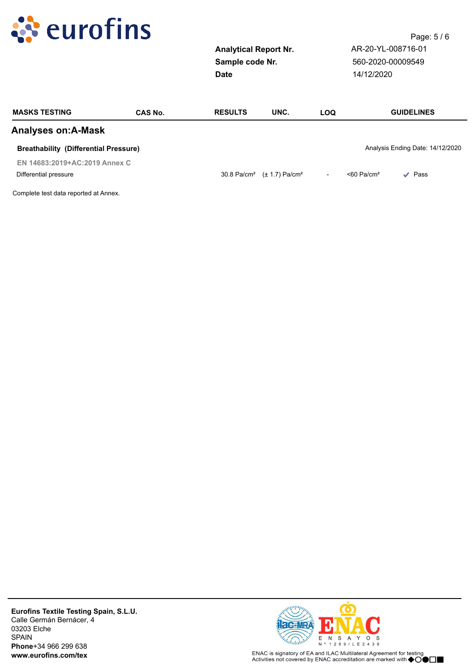

**Date** 14/12/2020

Page: 5 / 6 **Analytical Report Nr.** AR-20-YL-008716-01 **Sample code Nr.** 560-2020-00009549

| <b>MASKS TESTING</b>                         | CAS No. | <b>RESULTS</b> | UNC.                                                   | LOQ                      | <b>GUIDELINES</b>                        |
|----------------------------------------------|---------|----------------|--------------------------------------------------------|--------------------------|------------------------------------------|
| <b>Analyses on:A-Mask</b>                    |         |                |                                                        |                          |                                          |
| <b>Breathability (Differential Pressure)</b> |         |                |                                                        |                          | Analysis Ending Date: 14/12/2020         |
| EN 14683:2019+AC:2019 Annex C                |         |                |                                                        |                          |                                          |
| Differential pressure                        |         |                | 30.8 Pa/cm <sup>2</sup> $(\pm 1.7)$ Pa/cm <sup>2</sup> | $\overline{\phantom{0}}$ | $<$ 60 Pa/cm <sup>2</sup><br>$\vee$ Pass |
| Complete test data reported at Annex         |         |                |                                                        |                          |                                          |

omplete test data reported at Annex.

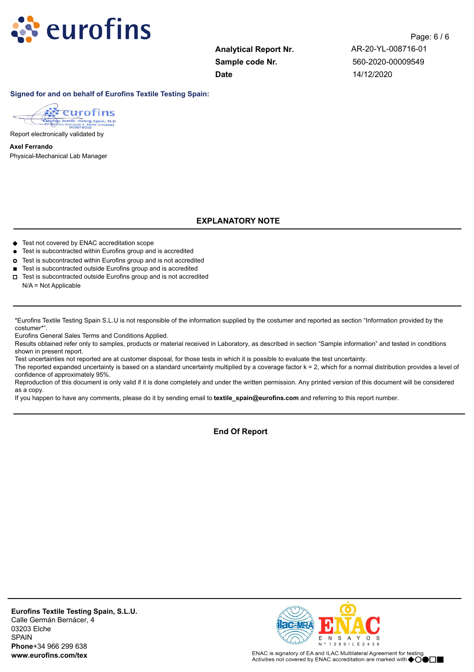

**Sample code Nr.** 560-2020-00009549 **Date** 14/12/2020

Page: 6 / 6 **Analytical Report Nr.** AR-20-YL-008716-01

#### **Signed for and on behalf of Eurofins Textile Testing Spain:**



Report electronically validated by

Physical-Mechanical Lab Manager **Axel Ferrando**

## **EXPLANATORY NOTE**

- ◆ Test not covered by ENAC accreditation scope
- **l** Test is subcontracted within Eurofins group and is accredited
- **¢** Test is subcontracted within Eurofins group and is not accredited
- Test is subcontracted outside Eurofins group and is accredited
- **o** Test is subcontracted outside Eurofins group and is not accredited N/A = Not Applicable

\*Eurofins Textile Testing Spain S.L.U is not responsible of the information supplied by the costumer and reported as section "Information provided by the costumer\*".

Eurofins General Sales Terms and Conditions Applied.

Results obtained refer only to samples, products or material received in Laboratory, as described in section "Sample information" and tested in conditions shown in present report.

Test uncertainties not reported are at customer disposal, for those tests in which it is possible to evaluate the test uncertainty.

The reported expanded uncertainty is based on a standard uncertainty multiplied by a coverage factor k = 2, which for a normal distribution provides a level of confidence of approximately 95%.

Reproduction of this document is only valid if it is done completely and under the written permission. Any printed version of this document will be considered as a copy.

If you happen to have any comments, please do it by sending email to **textile\_spain@eurofins.com** and referring to this report number.

**End Of Report**



ENAC is signatory of EA and ILAC Multilateral Agreement for testing Activities not covered by ENAC accreditation are marked with  $\bigcirc$ OO $\square$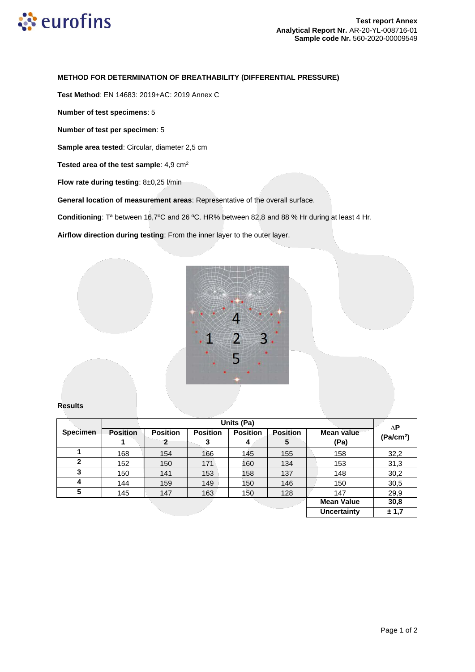

#### **METHOD FOR DETERMINATION OF BREATHABILITY (DIFFERENTIAL PRESSURE)**

**Test Method**: EN 14683: 2019+AC: 2019 Annex C

**Number of test specimens**: 5

**Number of test per specimen**: 5

**Sample area tested**: Circular, diameter 2,5 cm

Tested area of the test sample: 4,9 cm<sup>2</sup>

**Flow rate during testing**: 8±0,25 l/min

**General location of measurement areas**: Representative of the overall surface.

**Conditioning**: Tª between 16,7ºC and 26 ºC. HR% between 82,8 and 88 % Hr during at least 4 Hr.

**Airflow direction during testing**: From the inner layer to the outer layer.



#### **Results**

|                 | Units (Pa)      |                 |                 |                 |                 | ΔP                |                       |
|-----------------|-----------------|-----------------|-----------------|-----------------|-----------------|-------------------|-----------------------|
| <b>Specimen</b> | <b>Position</b> | <b>Position</b> | <b>Position</b> | <b>Position</b> | <b>Position</b> | <b>Mean value</b> | (Pa/cm <sup>2</sup> ) |
|                 |                 | $\mathbf{2}$    | 3               | 4               | 5               | (Pa)              |                       |
|                 | 168             | 154             | 166             | 145             | 155             | 158               | 32,2                  |
| $\mathbf{2}$    | 152             | 150             | 171             | 160             | 134             | 153               | 31,3                  |
| 3               | 150             | 141             | 153             | 158             | 137             | 148               | 30,2                  |
| 4               | 144             | 159             | 149             | 150             | 146             | 150               | 30,5                  |
| 5               | 145             | 147             | 163             | 150             | 128             | 147               | 29,9                  |
|                 |                 |                 |                 |                 |                 | <b>Mean Value</b> | 30,8                  |
|                 |                 |                 |                 | Uncertainty     | ± 1,7           |                   |                       |